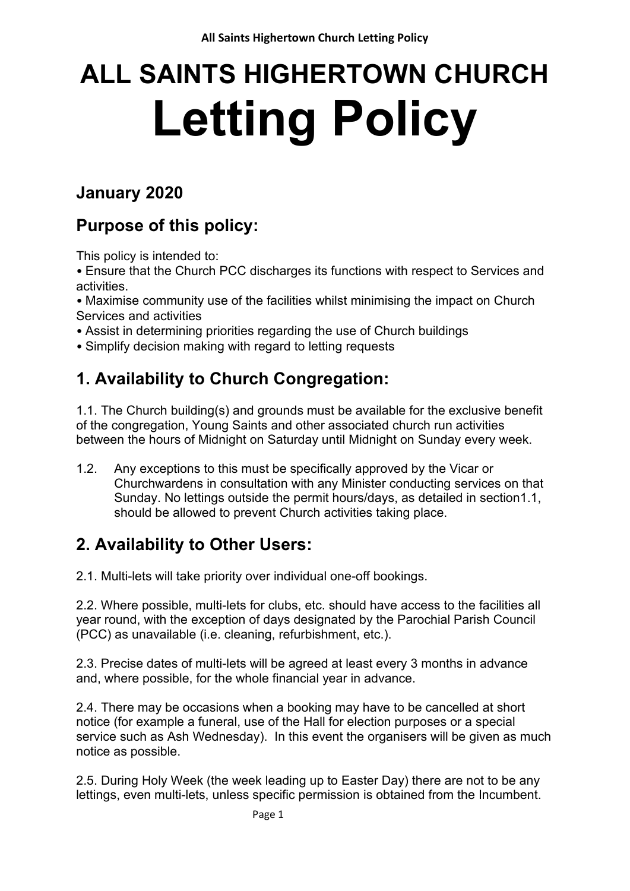# **ALL SAINTS HIGHERTOWN CHURCH Letting Policy**

# **January 2020**

# **Purpose of this policy:**

This policy is intended to:

• Ensure that the Church PCC discharges its functions with respect to Services and activities.

• Maximise community use of the facilities whilst minimising the impact on Church Services and activities

- Assist in determining priorities regarding the use of Church buildings
- Simplify decision making with regard to letting requests

# **1. Availability to Church Congregation:**

1.1. The Church building(s) and grounds must be available for the exclusive benefit of the congregation, Young Saints and other associated church run activities between the hours of Midnight on Saturday until Midnight on Sunday every week.

1.2. Any exceptions to this must be specifically approved by the Vicar or Churchwardens in consultation with any Minister conducting services on that Sunday. No lettings outside the permit hours/days, as detailed in section1.1, should be allowed to prevent Church activities taking place.

# **2. Availability to Other Users:**

2.1. Multi-lets will take priority over individual one-off bookings.

2.2. Where possible, multi-lets for clubs, etc. should have access to the facilities all year round, with the exception of days designated by the Parochial Parish Council (PCC) as unavailable (i.e. cleaning, refurbishment, etc.).

2.3. Precise dates of multi-lets will be agreed at least every 3 months in advance and, where possible, for the whole financial year in advance.

2.4. There may be occasions when a booking may have to be cancelled at short notice (for example a funeral, use of the Hall for election purposes or a special service such as Ash Wednesday). In this event the organisers will be given as much notice as possible.

2.5. During Holy Week (the week leading up to Easter Day) there are not to be any lettings, even multi-lets, unless specific permission is obtained from the Incumbent.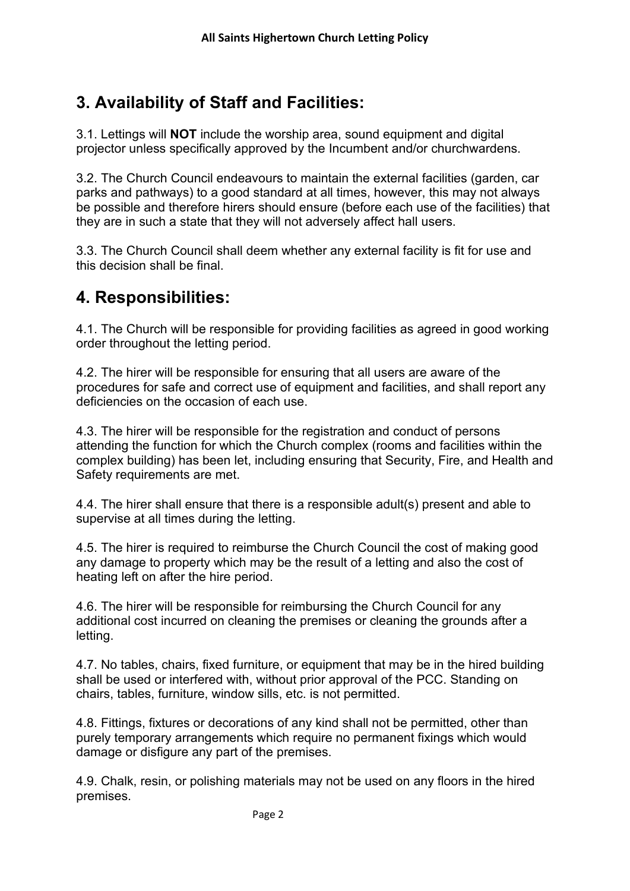# **3. Availability of Staff and Facilities:**

3.1. Lettings will **NOT** include the worship area, sound equipment and digital projector unless specifically approved by the Incumbent and/or churchwardens.

3.2. The Church Council endeavours to maintain the external facilities (garden, car parks and pathways) to a good standard at all times, however, this may not always be possible and therefore hirers should ensure (before each use of the facilities) that they are in such a state that they will not adversely affect hall users.

3.3. The Church Council shall deem whether any external facility is fit for use and this decision shall be final.

## **4. Responsibilities:**

4.1. The Church will be responsible for providing facilities as agreed in good working order throughout the letting period.

4.2. The hirer will be responsible for ensuring that all users are aware of the procedures for safe and correct use of equipment and facilities, and shall report any deficiencies on the occasion of each use.

4.3. The hirer will be responsible for the registration and conduct of persons attending the function for which the Church complex (rooms and facilities within the complex building) has been let, including ensuring that Security, Fire, and Health and Safety requirements are met.

4.4. The hirer shall ensure that there is a responsible adult(s) present and able to supervise at all times during the letting.

4.5. The hirer is required to reimburse the Church Council the cost of making good any damage to property which may be the result of a letting and also the cost of heating left on after the hire period.

4.6. The hirer will be responsible for reimbursing the Church Council for any additional cost incurred on cleaning the premises or cleaning the grounds after a letting.

4.7. No tables, chairs, fixed furniture, or equipment that may be in the hired building shall be used or interfered with, without prior approval of the PCC. Standing on chairs, tables, furniture, window sills, etc. is not permitted.

4.8. Fittings, fixtures or decorations of any kind shall not be permitted, other than purely temporary arrangements which require no permanent fixings which would damage or disfigure any part of the premises.

4.9. Chalk, resin, or polishing materials may not be used on any floors in the hired premises.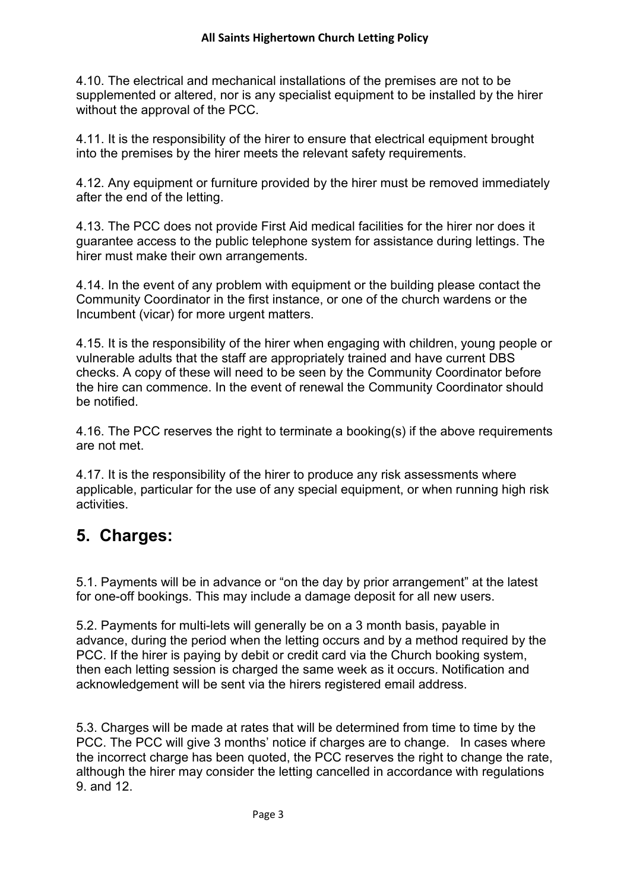4.10. The electrical and mechanical installations of the premises are not to be supplemented or altered, nor is any specialist equipment to be installed by the hirer without the approval of the PCC.

4.11. It is the responsibility of the hirer to ensure that electrical equipment brought into the premises by the hirer meets the relevant safety requirements.

4.12. Any equipment or furniture provided by the hirer must be removed immediately after the end of the letting.

4.13. The PCC does not provide First Aid medical facilities for the hirer nor does it guarantee access to the public telephone system for assistance during lettings. The hirer must make their own arrangements.

4.14. In the event of any problem with equipment or the building please contact the Community Coordinator in the first instance, or one of the church wardens or the Incumbent (vicar) for more urgent matters.

4.15. It is the responsibility of the hirer when engaging with children, young people or vulnerable adults that the staff are appropriately trained and have current DBS checks. A copy of these will need to be seen by the Community Coordinator before the hire can commence. In the event of renewal the Community Coordinator should be notified.

4.16. The PCC reserves the right to terminate a booking(s) if the above requirements are not met.

4.17. It is the responsibility of the hirer to produce any risk assessments where applicable, particular for the use of any special equipment, or when running high risk activities.

#### **5. Charges:**

5.1. Payments will be in advance or "on the day by prior arrangement" at the latest for one-off bookings. This may include a damage deposit for all new users.

5.2. Payments for multi-lets will generally be on a 3 month basis, payable in advance, during the period when the letting occurs and by a method required by the PCC. If the hirer is paying by debit or credit card via the Church booking system, then each letting session is charged the same week as it occurs. Notification and acknowledgement will be sent via the hirers registered email address.

5.3. Charges will be made at rates that will be determined from time to time by the PCC. The PCC will give 3 months' notice if charges are to change. In cases where the incorrect charge has been quoted, the PCC reserves the right to change the rate, although the hirer may consider the letting cancelled in accordance with regulations 9. and 12.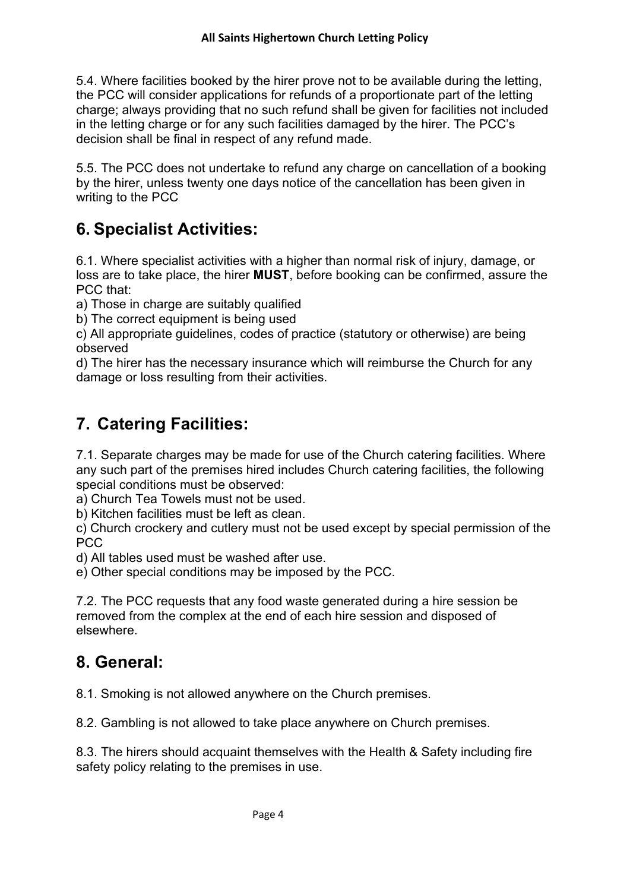5.4. Where facilities booked by the hirer prove not to be available during the letting, the PCC will consider applications for refunds of a proportionate part of the letting charge; always providing that no such refund shall be given for facilities not included in the letting charge or for any such facilities damaged by the hirer. The PCC's decision shall be final in respect of any refund made.

5.5. The PCC does not undertake to refund any charge on cancellation of a booking by the hirer, unless twenty one days notice of the cancellation has been given in writing to the PCC

## **6. Specialist Activities:**

6.1. Where specialist activities with a higher than normal risk of injury, damage, or loss are to take place, the hirer **MUST**, before booking can be confirmed, assure the PCC that:

a) Those in charge are suitably qualified

b) The correct equipment is being used

c) All appropriate guidelines, codes of practice (statutory or otherwise) are being observed

d) The hirer has the necessary insurance which will reimburse the Church for any damage or loss resulting from their activities.

# **7. Catering Facilities:**

7.1. Separate charges may be made for use of the Church catering facilities. Where any such part of the premises hired includes Church catering facilities, the following special conditions must be observed:

a) Church Tea Towels must not be used.

b) Kitchen facilities must be left as clean.

c) Church crockery and cutlery must not be used except by special permission of the PCC

d) All tables used must be washed after use.

e) Other special conditions may be imposed by the PCC.

7.2. The PCC requests that any food waste generated during a hire session be removed from the complex at the end of each hire session and disposed of elsewhere.

#### **8. General:**

8.1. Smoking is not allowed anywhere on the Church premises.

8.2. Gambling is not allowed to take place anywhere on Church premises.

8.3. The hirers should acquaint themselves with the Health & Safety including fire safety policy relating to the premises in use.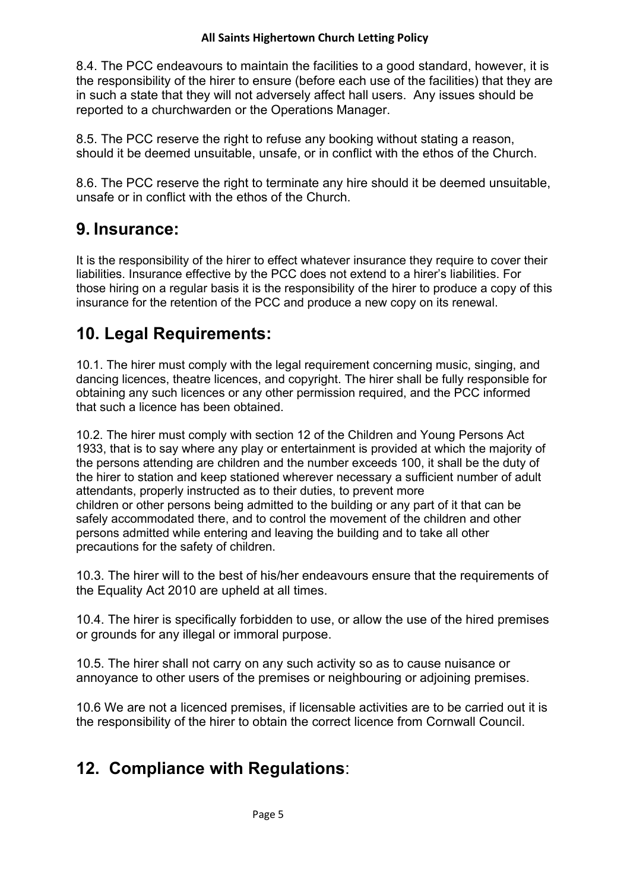#### **All Saints Highertown Church Letting Policy**

8.4. The PCC endeavours to maintain the facilities to a good standard, however, it is the responsibility of the hirer to ensure (before each use of the facilities) that they are in such a state that they will not adversely affect hall users. Any issues should be reported to a churchwarden or the Operations Manager.

8.5. The PCC reserve the right to refuse any booking without stating a reason, should it be deemed unsuitable, unsafe, or in conflict with the ethos of the Church.

8.6. The PCC reserve the right to terminate any hire should it be deemed unsuitable, unsafe or in conflict with the ethos of the Church.

#### **9. Insurance:**

It is the responsibility of the hirer to effect whatever insurance they require to cover their liabilities. Insurance effective by the PCC does not extend to a hirer's liabilities. For those hiring on a regular basis it is the responsibility of the hirer to produce a copy of this insurance for the retention of the PCC and produce a new copy on its renewal.

#### **10. Legal Requirements:**

10.1. The hirer must comply with the legal requirement concerning music, singing, and dancing licences, theatre licences, and copyright. The hirer shall be fully responsible for obtaining any such licences or any other permission required, and the PCC informed that such a licence has been obtained.

10.2. The hirer must comply with section 12 of the Children and Young Persons Act 1933, that is to say where any play or entertainment is provided at which the majority of the persons attending are children and the number exceeds 100, it shall be the duty of the hirer to station and keep stationed wherever necessary a sufficient number of adult attendants, properly instructed as to their duties, to prevent more children or other persons being admitted to the building or any part of it that can be safely accommodated there, and to control the movement of the children and other persons admitted while entering and leaving the building and to take all other precautions for the safety of children.

10.3. The hirer will to the best of his/her endeavours ensure that the requirements of the Equality Act 2010 are upheld at all times.

10.4. The hirer is specifically forbidden to use, or allow the use of the hired premises or grounds for any illegal or immoral purpose.

10.5. The hirer shall not carry on any such activity so as to cause nuisance or annoyance to other users of the premises or neighbouring or adjoining premises.

10.6 We are not a licenced premises, if licensable activities are to be carried out it is the responsibility of the hirer to obtain the correct licence from Cornwall Council.

#### **12. Compliance with Regulations**: